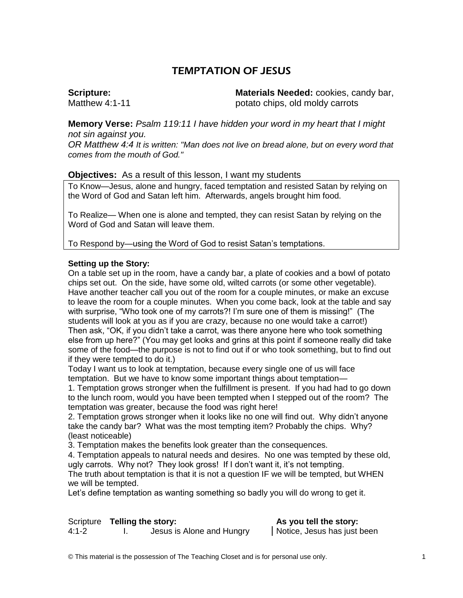# TEMPTATION OF JESUS

#### **Scripture:**  Matthew 4:1-11

**Materials Needed:** cookies, candy bar, potato chips, old moldy carrots

**Memory Verse:** *Psalm 119:11 I have hidden your word in my heart that I might not sin against you.*

*OR Matthew 4:4 It is written: "Man does not live on bread alone, but on every word that comes from the mouth of God."*

### **Objectives:** As a result of this lesson, I want my students

To Know—Jesus, alone and hungry, faced temptation and resisted Satan by relying on the Word of God and Satan left him. Afterwards, angels brought him food.

To Realize— When one is alone and tempted, they can resist Satan by relying on the Word of God and Satan will leave them.

To Respond by—using the Word of God to resist Satan's temptations.

#### **Setting up the Story:**

On a table set up in the room, have a candy bar, a plate of cookies and a bowl of potato chips set out. On the side, have some old, wilted carrots (or some other vegetable). Have another teacher call you out of the room for a couple minutes, or make an excuse to leave the room for a couple minutes. When you come back, look at the table and say with surprise, "Who took one of my carrots?! I'm sure one of them is missing!" (The students will look at you as if you are crazy, because no one would take a carrot!) Then ask, "OK, if you didn't take a carrot, was there anyone here who took something else from up here?" (You may get looks and grins at this point if someone really did take some of the food—the purpose is not to find out if or who took something, but to find out if they were tempted to do it.)

Today I want us to look at temptation, because every single one of us will face temptation. But we have to know some important things about temptation—

1. Temptation grows stronger when the fulfillment is present. If you had had to go down to the lunch room, would you have been tempted when I stepped out of the room? The temptation was greater, because the food was right here!

2. Temptation grows stronger when it looks like no one will find out. Why didn't anyone take the candy bar? What was the most tempting item? Probably the chips. Why? (least noticeable)

3. Temptation makes the benefits look greater than the consequences.

4. Temptation appeals to natural needs and desires. No one was tempted by these old, ugly carrots. Why not? They look gross! If I don't want it, it's not tempting.

The truth about temptation is that it is not a question IF we will be tempted, but WHEN we will be tempted.

Let's define temptation as wanting something so badly you will do wrong to get it.

Scripture **Telling the story: As you tell the story:** 1. Jesus is Alone and Hungry | Notice, Jesus has just been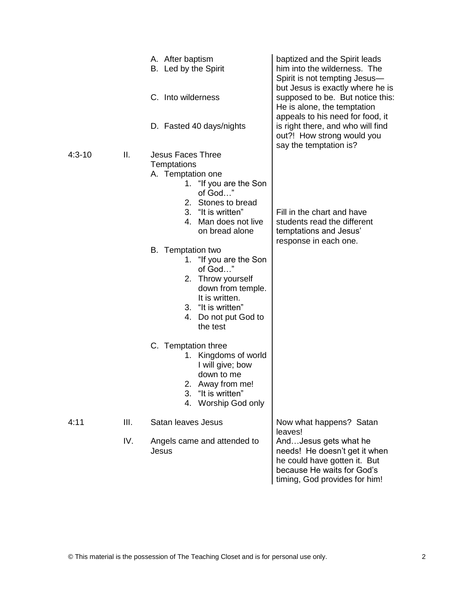|            |      | A. After baptism<br>B. Led by the Spirit<br>C. Into wilderness<br>D. Fasted 40 days/nights                                                                                                                                                                                                                                                                                                                                                                                                                                           | baptized and the Spirit leads<br>him into the wilderness. The<br>Spirit is not tempting Jesus-<br>but Jesus is exactly where he is<br>supposed to be. But notice this:<br>He is alone, the temptation<br>appeals to his need for food, it<br>is right there, and who will find<br>out?! How strong would you |  |
|------------|------|--------------------------------------------------------------------------------------------------------------------------------------------------------------------------------------------------------------------------------------------------------------------------------------------------------------------------------------------------------------------------------------------------------------------------------------------------------------------------------------------------------------------------------------|--------------------------------------------------------------------------------------------------------------------------------------------------------------------------------------------------------------------------------------------------------------------------------------------------------------|--|
| $4:3 - 10$ | II.  | <b>Jesus Faces Three</b><br>Temptations<br>A. Temptation one<br>1. "If you are the Son<br>of God"<br>2. Stones to bread<br>3. "It is written"<br>Man does not live<br>4<br>on bread alone<br>B. Temptation two<br>1. "If you are the Son<br>of God"<br>2. Throw yourself<br>down from temple.<br>It is written.<br>3. "It is written"<br>4.<br>Do not put God to<br>the test<br>C. Temptation three<br>1. Kingdoms of world<br>I will give; bow<br>down to me<br>2. Away from me!<br>3.<br>"It is written"<br>Worship God only<br>4. | say the temptation is?<br>Fill in the chart and have<br>students read the different<br>temptations and Jesus'<br>response in each one.                                                                                                                                                                       |  |
| 4:11       | III. | Satan leaves Jesus                                                                                                                                                                                                                                                                                                                                                                                                                                                                                                                   | Now what happens? Satan<br>leaves!<br>AndJesus gets what he<br>needs! He doesn't get it when<br>he could have gotten it. But<br>because He waits for God's                                                                                                                                                   |  |
|            | IV.  | Angels came and attended to<br>Jesus                                                                                                                                                                                                                                                                                                                                                                                                                                                                                                 |                                                                                                                                                                                                                                                                                                              |  |

timing, God provides for him!